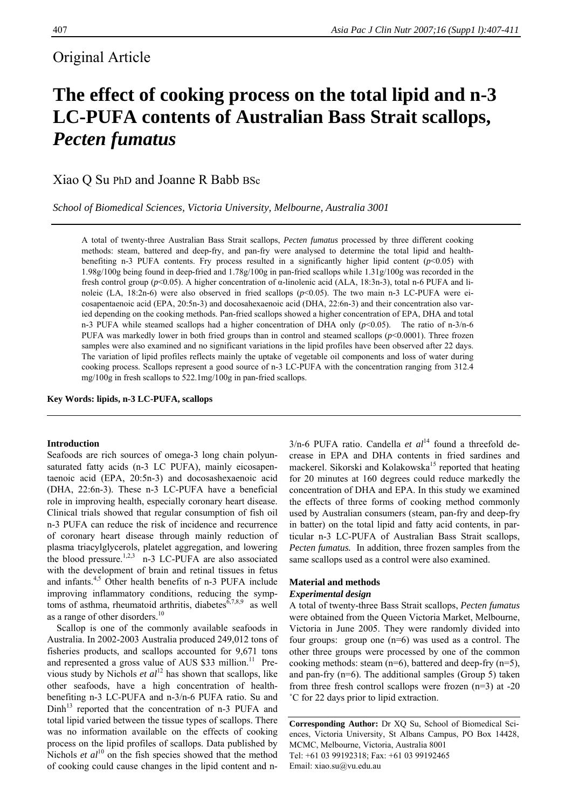## Original Article

# **The effect of cooking process on the total lipid and n-3 LC-PUFA contents of Australian Bass Strait scallops,**  *Pecten fumatus*

Xiao Q Su PhD and Joanne R Babb BSc

*School of Biomedical Sciences, Victoria University, Melbourne, Australia 3001* 

A total of twenty-three Australian Bass Strait scallops, *Pecten fumatus* processed by three different cooking methods: steam, battered and deep-fry, and pan-fry were analysed to determine the total lipid and healthbenefiting n-3 PUFA contents. Fry process resulted in a significantly higher lipid content  $(p<0.05)$  with 1.98g/100g being found in deep-fried and 1.78g/100g in pan-fried scallops while 1.31g/100g was recorded in the fresh control group (*p*<0.05). A higher concentration of α-linolenic acid (ALA, 18:3n-3), total n-6 PUFA and linoleic (LA, 18:2n-6) were also observed in fried scallops (*p*<0.05). The two main n-3 LC-PUFA were eicosapentaenoic acid (EPA, 20:5n-3) and docosahexaenoic acid (DHA, 22:6n-3) and their concentration also varied depending on the cooking methods. Pan-fried scallops showed a higher concentration of EPA, DHA and total n-3 PUFA while steamed scallops had a higher concentration of DHA only  $(p<0.05)$ . The ratio of n-3/n-6 PUFA was markedly lower in both fried groups than in control and steamed scallops ( $p$ <0.0001). Three frozen samples were also examined and no significant variations in the lipid profiles have been observed after 22 days. The variation of lipid profiles reflects mainly the uptake of vegetable oil components and loss of water during cooking process. Scallops represent a good source of n-3 LC-PUFA with the concentration ranging from 312.4 mg/100g in fresh scallops to 522.1mg/100g in pan-fried scallops.

**Key Words: lipids, n-3 LC-PUFA, scallops** 

### **Introduction**

Seafoods are rich sources of omega-3 long chain polyunsaturated fatty acids (n-3 LC PUFA), mainly eicosapentaenoic acid (EPA, 20:5n-3) and docosashexaenoic acid (DHA, 22:6n-3). These n-3 LC-PUFA have a beneficial role in improving health, especially coronary heart disease. Clinical trials showed that regular consumption of fish oil n-3 PUFA can reduce the risk of incidence and recurrence of coronary heart disease through mainly reduction of plasma triacylglycerols, platelet aggregation, and lowering the blood pressure.<sup>1,2,3</sup> n-3 LC-PUFA are also associated with the development of brain and retinal tissues in fetus and infants.<sup>4,5</sup> Other health benefits of n-3 PUFA include improving inflammatory conditions, reducing the symptoms of asthma, rheumatoid arthritis, diabetes $\frac{\delta^{7,8,9}}{\delta^{7}}$  as well as a range of other disorders.<sup>10</sup>

Scallop is one of the commonly available seafoods in Australia. In 2002-2003 Australia produced 249,012 tons of fisheries products, and scallops accounted for 9,671 tons and represented a gross value of AUS  $$33$  million.<sup>11</sup> Previous study by Nichols *et*  $al^{12}$  has shown that scallops, like other seafoods, have a high concentration of healthbenefiting n-3 LC-PUFA and n-3/n-6 PUFA ratio. Su and  $Dinh<sup>13</sup>$  reported that the concentration of n-3 PUFA and total lipid varied between the tissue types of scallops. There was no information available on the effects of cooking process on the lipid profiles of scallops. Data published by Nichols *et al*<sup>10</sup> on the fish species showed that the method of cooking could cause changes in the lipid content and n3/n-6 PUFA ratio. Candella *et al*<sup>14</sup> found a threefold decrease in EPA and DHA contents in fried sardines and mackerel. Sikorski and Kolakowska<sup>15</sup> reported that heating for 20 minutes at 160 degrees could reduce markedly the concentration of DHA and EPA. In this study we examined the effects of three forms of cooking method commonly used by Australian consumers (steam, pan-fry and deep-fry in batter) on the total lipid and fatty acid contents, in particular n-3 LC-PUFA of Australian Bass Strait scallops, *Pecten fumatus.* In addition, three frozen samples from the same scallops used as a control were also examined.

## **Material and methods**

## *Experimental design*

A total of twenty-three Bass Strait scallops, *Pecten fumatus* were obtained from the Queen Victoria Market, Melbourne, Victoria in June 2005. They were randomly divided into four groups: group one (n=6) was used as a control. The other three groups were processed by one of the common cooking methods: steam (n=6), battered and deep-fry (n=5), and pan-fry (n=6). The additional samples (Group 5) taken from three fresh control scallops were frozen (n=3) at -20 ˚C for 22 days prior to lipid extraction.

**Corresponding Author:** Dr XQ Su, School of Biomedical Sciences, Victoria University, St Albans Campus, PO Box 14428, MCMC, Melbourne, Victoria, Australia 8001 Tel: +61 03 99192318; Fax: +61 03 99192465 Email: xiao.su@vu.edu.au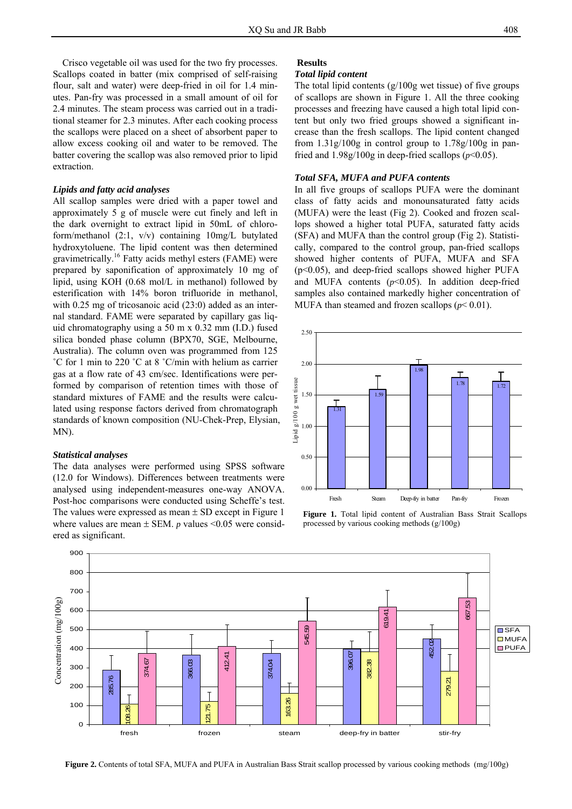Crisco vegetable oil was used for the two fry processes. Scallops coated in batter (mix comprised of self-raising flour, salt and water) were deep-fried in oil for 1.4 minutes. Pan-fry was processed in a small amount of oil for 2.4 minutes. The steam process was carried out in a traditional steamer for 2.3 minutes. After each cooking process the scallops were placed on a sheet of absorbent paper to allow excess cooking oil and water to be removed. The batter covering the scallop was also removed prior to lipid extraction.

## *Lipids and fatty acid analyses*

All scallop samples were dried with a paper towel and approximately 5 g of muscle were cut finely and left in the dark overnight to extract lipid in 50mL of chloroform/methanol (2:1, v/v) containing 10mg/L butylated hydroxytoluene. The lipid content was then determined gravimetrically.16 Fatty acids methyl esters (FAME) were prepared by saponification of approximately 10 mg of lipid, using KOH (0.68 mol/L in methanol) followed by esterification with 14% boron trifluoride in methanol, with 0.25 mg of tricosanoic acid (23:0) added as an internal standard. FAME were separated by capillary gas liquid chromatography using a 50 m x 0.32 mm (I.D.) fused silica bonded phase column (BPX70, SGE, Melbourne, Australia). The column oven was programmed from 125 ˚C for 1 min to 220 ˚C at 8 ˚C/min with helium as carrier gas at a flow rate of 43 cm/sec. Identifications were performed by comparison of retention times with those of standard mixtures of FAME and the results were calculated using response factors derived from chromatograph standards of known composition (NU-Chek-Prep, Elysian, MN).

## *Statistical analyses*

The data analyses were performed using SPSS software (12.0 for Windows). Differences between treatments were analysed using independent-measures one-way ANOVA. Post-hoc comparisons were conducted using Scheffe's test. The values were expressed as mean  $\pm$  SD except in Figure 1 where values are mean  $\pm$  SEM. *p* values <0.05 were considered as significant.

## **Results**

## *Total lipid content*

The total lipid contents  $(g/100g$  wet tissue) of five groups of scallops are shown in Figure 1. All the three cooking processes and freezing have caused a high total lipid content but only two fried groups showed a significant increase than the fresh scallops. The lipid content changed from  $1.31g/100g$  in control group to  $1.78g/100g$  in panfried and  $1.98g/100g$  in deep-fried scallops ( $p<0.05$ ).

## *Total SFA, MUFA and PUFA contents*

In all five groups of scallops PUFA were the dominant class of fatty acids and monounsaturated fatty acids (MUFA) were the least (Fig 2). Cooked and frozen scallops showed a higher total PUFA, saturated fatty acids (SFA) and MUFA than the control group (Fig 2). Statistically, compared to the control group, pan-fried scallops showed higher contents of PUFA, MUFA and SFA  $(p<0.05)$ , and deep-fried scallops showed higher PUFA and MUFA contents  $(p<0.05)$ . In addition deep-fried samples also contained markedly higher concentration of MUFA than steamed and frozen scallops ( $p$ < 0.01).



**Figure 1.** Total lipid content of Australian Bass Strait Scallops processed by various cooking methods (g/100g)



**Figure 2.** Contents of total SFA, MUFA and PUFA in Australian Bass Strait scallop processed by various cooking methods (mg/100g)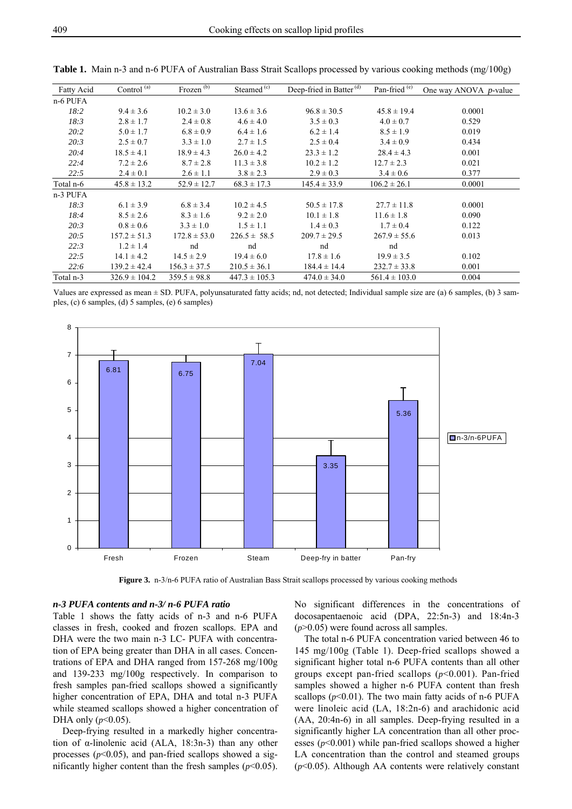| Fatty Acid | Control $\overline{^{(a)}}$ | Frozen $\overline{^{(b)}}$ | Steamed $(c)$     | Deep-fried in Batter <sup>(d)</sup> | Pan-fried <sup>(e)</sup> | One way ANOVA $p$ -value |
|------------|-----------------------------|----------------------------|-------------------|-------------------------------------|--------------------------|--------------------------|
| n-6 PUFA   |                             |                            |                   |                                     |                          |                          |
| 18:2       | $9.4 \pm 3.6$               | $10.2 \pm 3.0$             | $13.6 \pm 3.6$    | $96.8 \pm 30.5$                     | $45.8 \pm 19.4$          | 0.0001                   |
| 18:3       | $2.8 \pm 1.7$               | $2.4 \pm 0.8$              | $4.6 \pm 4.0$     | $3.5 \pm 0.3$                       | $4.0 \pm 0.7$            | 0.529                    |
| 20:2       | $5.0 \pm 1.7$               | $6.8 \pm 0.9$              | $6.4 \pm 1.6$     | $6.2 \pm 1.4$                       | $8.5 \pm 1.9$            | 0.019                    |
| 20:3       | $2.5 \pm 0.7$               | $3.3 \pm 1.0$              | $2.7 \pm 1.5$     | $2.5 \pm 0.4$                       | $3.4 \pm 0.9$            | 0.434                    |
| 20:4       | $18.5 \pm 4.1$              | $18.9 \pm 4.3$             | $26.0 \pm 4.2$    | $23.3 \pm 1.2$                      | $28.4 \pm 4.3$           | 0.001                    |
| 22:4       | $7.2 \pm 2.6$               | $8.7 \pm 2.8$              | $11.3 \pm 3.8$    | $10.2 \pm 1.2$                      | $12.7 \pm 2.3$           | 0.021                    |
| 22:5       | $2.4 \pm 0.1$               | $2.6 \pm 1.1$              | $3.8 \pm 2.3$     | $2.9 \pm 0.3$                       | $3.4 \pm 0.6$            | 0.377                    |
| Total n-6  | $45.8 \pm 13.2$             | $52.9 \pm 12.7$            | $68.3 \pm 17.3$   | $145.4 \pm 33.9$                    | $106.2 \pm 26.1$         | 0.0001                   |
| n-3 PUFA   |                             |                            |                   |                                     |                          |                          |
| 18:3       | $6.1 \pm 3.9$               | $6.8 \pm 3.4$              | $10.2 \pm 4.5$    | $50.5 \pm 17.8$                     | $27.7 \pm 11.8$          | 0.0001                   |
| 18:4       | $8.5 \pm 2.6$               | $8.3 \pm 1.6$              | $9.2 \pm 2.0$     | $10.1 \pm 1.8$                      | $11.6 \pm 1.8$           | 0.090                    |
| 20:3       | $0.8 \pm 0.6$               | $3.3 \pm 1.0$              | $1.5 \pm 1.1$     | $1.4 \pm 0.3$                       | $1.7 \pm 0.4$            | 0.122                    |
| 20:5       | $157.2 \pm 51.3$            | $172.8 \pm 53.0$           | $226.5 \pm 58.5$  | $209.7 \pm 29.5$                    | $267.9 \pm 55.6$         | 0.013                    |
| 22:3       | $1.2 \pm 1.4$               | nd                         | nd                | nd                                  | nd                       |                          |
| 22:5       | $14.1 \pm 4.2$              | $14.5 \pm 2.9$             | $19.4 \pm 6.0$    | $17.8 \pm 1.6$                      | $19.9 \pm 3.5$           | 0.102                    |
| 22:6       | $139.2 \pm 42.4$            | $156.3 \pm 37.5$           | $210.5 \pm 36.1$  | $184.4 \pm 14.4$                    | $232.7 \pm 33.8$         | 0.001                    |
| Total n-3  | $326.9 \pm 104.2$           | $359.5 \pm 98.8$           | $447.3 \pm 105.3$ | $474.0 \pm 34.0$                    | $561.4 \pm 103.0$        | 0.004                    |

**Table 1.** Main n-3 and n-6 PUFA of Australian Bass Strait Scallops processed by various cooking methods (mg/100g)

Values are expressed as mean  $\pm$  SD. PUFA, polyunsaturated fatty acids; nd, not detected; Individual sample size are (a) 6 samples, (b) 3 samples, (c) 6 samples, (d) 5 samples, (e) 6 samples)



**Figure 3.** n-3/n-6 PUFA ratio of Australian Bass Strait scallops processed by various cooking methods

## *n-3 PUFA contents and n-3/ n-6 PUFA ratio*

Table 1 shows the fatty acids of n-3 and n-6 PUFA classes in fresh, cooked and frozen scallops. EPA and DHA were the two main n-3 LC- PUFA with concentration of EPA being greater than DHA in all cases. Concentrations of EPA and DHA ranged from 157-268 mg/100g and 139-233 mg/100g respectively. In comparison to fresh samples pan-fried scallops showed a significantly higher concentration of EPA, DHA and total n-3 PUFA while steamed scallops showed a higher concentration of DHA only  $(p<0.05)$ .

Deep-frying resulted in a markedly higher concentration of  $\alpha$ -linolenic acid (ALA, 18:3n-3) than any other processes  $(p<0.05)$ , and pan-fried scallops showed a significantly higher content than the fresh samples  $(p<0.05)$ .

No significant differences in the concentrations of docosapentaenoic acid (DPA, 22:5n-3) and 18:4n-3 (*p*>0.05) were found across all samples.

The total n-6 PUFA concentration varied between 46 to 145 mg/100g (Table 1). Deep-fried scallops showed a significant higher total n-6 PUFA contents than all other groups except pan-fried scallops (*p*<0.001). Pan-fried samples showed a higher n-6 PUFA content than fresh scallops  $(p<0.01)$ . The two main fatty acids of n-6 PUFA were linoleic acid (LA, 18:2n-6) and arachidonic acid (AA, 20:4n-6) in all samples. Deep-frying resulted in a significantly higher LA concentration than all other processes  $(p<0.001)$  while pan-fried scallops showed a higher LA concentration than the control and steamed groups (*p*<0.05). Although AA contents were relatively constant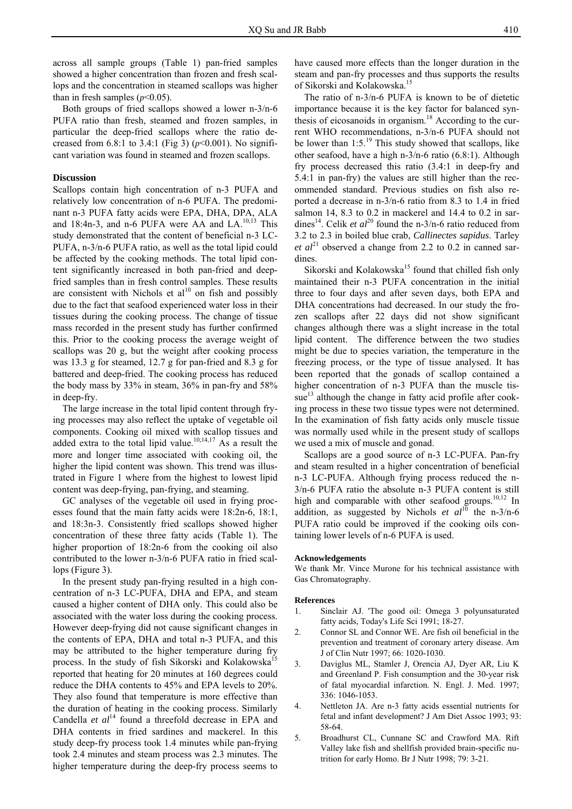across all sample groups (Table 1) pan-fried samples showed a higher concentration than frozen and fresh scallops and the concentration in steamed scallops was higher than in fresh samples  $(p<0.05)$ .

Both groups of fried scallops showed a lower n-3/n-6 PUFA ratio than fresh, steamed and frozen samples, in particular the deep-fried scallops where the ratio decreased from 6.8:1 to 3.4:1 (Fig 3) ( $p$ <0.001). No significant variation was found in steamed and frozen scallops.

## **Discussion**

Scallops contain high concentration of n-3 PUFA and relatively low concentration of n-6 PUFA. The predominant n-3 PUFA fatty acids were EPA, DHA, DPA, ALA and 18:4n-3, and n-6 PUFA were AA and  $LA^{10,13}$  This study demonstrated that the content of beneficial n-3 LC-PUFA, n-3/n-6 PUFA ratio, as well as the total lipid could be affected by the cooking methods. The total lipid content significantly increased in both pan-fried and deepfried samples than in fresh control samples. These results are consistent with Nichols et  $al^{10}$  on fish and possibly due to the fact that seafood experienced water loss in their tissues during the cooking process. The change of tissue mass recorded in the present study has further confirmed this. Prior to the cooking process the average weight of scallops was 20 g, but the weight after cooking process was 13.3 g for steamed, 12.7 g for pan-fried and 8.3 g for battered and deep-fried. The cooking process has reduced the body mass by 33% in steam, 36% in pan-fry and 58% in deep-fry.

The large increase in the total lipid content through frying processes may also reflect the uptake of vegetable oil components. Cooking oil mixed with scallop tissues and added extra to the total lipid value.<sup>10,14,17</sup> As a result the more and longer time associated with cooking oil, the higher the lipid content was shown. This trend was illustrated in Figure 1 where from the highest to lowest lipid content was deep-frying, pan-frying, and steaming.

GC analyses of the vegetable oil used in frying processes found that the main fatty acids were 18:2n-6, 18:1, and 18:3n-3. Consistently fried scallops showed higher concentration of these three fatty acids (Table 1). The higher proportion of 18:2n-6 from the cooking oil also contributed to the lower n-3/n-6 PUFA ratio in fried scallops (Figure 3).

In the present study pan-frying resulted in a high concentration of n-3 LC-PUFA, DHA and EPA, and steam caused a higher content of DHA only. This could also be associated with the water loss during the cooking process. However deep-frying did not cause significant changes in the contents of EPA, DHA and total n-3 PUFA, and this may be attributed to the higher temperature during fry process. In the study of fish Sikorski and Kolakowska<sup>15</sup> reported that heating for 20 minutes at 160 degrees could reduce the DHA contents to 45% and EPA levels to 20%. They also found that temperature is more effective than the duration of heating in the cooking process. Similarly Candella *et al*<sup>14</sup> found a threefold decrease in EPA and DHA contents in fried sardines and mackerel. In this study deep-fry process took 1.4 minutes while pan-frying took 2.4 minutes and steam process was 2.3 minutes. The higher temperature during the deep-fry process seems to

have caused more effects than the longer duration in the steam and pan-fry processes and thus supports the results of Sikorski and Kolakowska.<sup>15</sup>

The ratio of n-3/n-6 PUFA is known to be of dietetic importance because it is the key factor for balanced synthesis of eicosanoids in organism.18 According to the current WHO recommendations, n-3/n-6 PUFA should not be lower than  $1:5.^{19}$  This study showed that scallops, like other seafood, have a high n-3/n-6 ratio (6.8:1). Although fry process decreased this ratio (3.4:1 in deep-fry and 5.4:1 in pan-fry) the values are still higher than the recommended standard. Previous studies on fish also reported a decrease in n-3/n-6 ratio from 8.3 to 1.4 in fried salmon 14, 8.3 to 0.2 in mackerel and 14.4 to 0.2 in sardines<sup>14</sup>. Celik *et al*<sup>20</sup> found the n-3/n-6 ratio reduced from 3.2 to 2.3 in boiled blue crab, *Callinectes sapidus*. Tarley *et*  $al^{21}$  observed a change from 2.2 to 0.2 in canned sardines.

Sikorski and Kolakowska<sup>15</sup> found that chilled fish only maintained their n-3 PUFA concentration in the initial three to four days and after seven days, both EPA and DHA concentrations had decreased. In our study the frozen scallops after 22 days did not show significant changes although there was a slight increase in the total lipid content. The difference between the two studies might be due to species variation, the temperature in the freezing process, or the type of tissue analysed. It has been reported that the gonads of scallop contained a higher concentration of n-3 PUFA than the muscle tis $sue<sup>13</sup>$  although the change in fatty acid profile after cooking process in these two tissue types were not determined. In the examination of fish fatty acids only muscle tissue was normally used while in the present study of scallops we used a mix of muscle and gonad.

Scallops are a good source of n-3 LC-PUFA. Pan-fry and steam resulted in a higher concentration of beneficial n-3 LC-PUFA. Although frying process reduced the n-3/n-6 PUFA ratio the absolute n-3 PUFA content is still high and comparable with other seafood groups.<sup>10,12</sup> In addition, as suggested by Nichols *et al*<sup>10</sup> the n-3/n-6 PUFA ratio could be improved if the cooking oils containing lower levels of n-6 PUFA is used.

#### **Acknowledgements**

We thank Mr. Vince Murone for his technical assistance with Gas Chromatography.

#### **References**

- 1. Sinclair AJ. 'The good oil: Omega 3 polyunsaturated fatty acids, Today's Life Sci 1991; 18-27.
- 2. Connor SL and Connor WE. Are fish oil beneficial in the prevention and treatment of coronary artery disease. Am J of Clin Nutr 1997; 66: 1020-1030.
- 3. Daviglus ML, Stamler J, Orencia AJ, Dyer AR, Liu K and Greenland P. Fish consumption and the 30-year risk of fatal myocardial infarction. N. Engl. J. Med. 1997; 336: 1046-1053.
- 4. Nettleton JA. Are n-3 fatty acids essential nutrients for fetal and infant development? J Am Diet Assoc 1993; 93: 58-64.
- 5. Broadhurst CL, Cunnane SC and Crawford MA. Rift Valley lake fish and shellfish provided brain-specific nutrition for early Homo. Br J Nutr 1998; 79: 3-21.